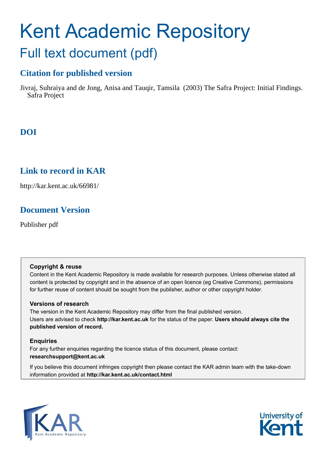# Kent Academic Repository Full text document (pdf)

## **Citation for published version**

Jivraj, Suhraiya and de Jong, Anisa and Tauqir, Tamsila (2003) The Safra Project: Initial Findings. Safra Project

### **DOI**

### **Link to record in KAR**

http://kar.kent.ac.uk/66981/

### **Document Version**

Publisher pdf

### **Copyright & reuse**

Content in the Kent Academic Repository is made available for research purposes. Unless otherwise stated all content is protected by copyright and in the absence of an open licence (eg Creative Commons), permissions for further reuse of content should be sought from the publisher, author or other copyright holder.

### **Versions of research**

The version in the Kent Academic Repository may differ from the final published version. Users are advised to check **http://kar.kent.ac.uk** for the status of the paper. **Users should always cite the published version of record.**

### **Enquiries**

For any further enquiries regarding the licence status of this document, please contact: **researchsupport@kent.ac.uk**

If you believe this document infringes copyright then please contact the KAR admin team with the take-down information provided at **http://kar.kent.ac.uk/contact.html**



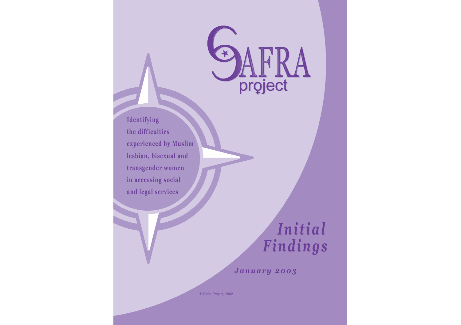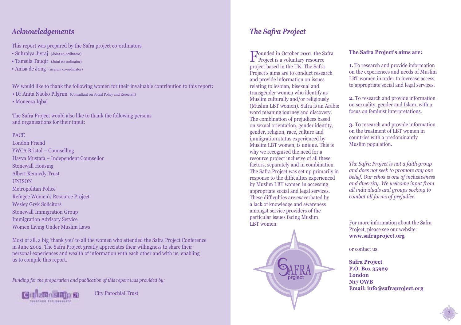### *Acknowledgements The Safra Project*

This report was prepared by the Safra project co-ordinators

- Suhraiya Jivraj (Joint co-ordinator)
- Tamsila Tauqir (Joint co-ordinator)
- Anisa de Jong (Asylum co-ordinator)

We would like to thank the following women for their invaluable contribution to this report:

- Dr Anita Naoko Pilgrim (Consultant on Social Policy and Research)
- Moneeza Iqbal

The Safra Project would also like to thank the following persons and organisations for their input:

#### PACE

London Friend YWCA Bristol – Counselling Havva Mustafa – Independent Counsellor Stonewall Housing Albert Kennedy Trust **UNISON** Metropolitan Police Refugee Women's Resource Project Wesley Gryk Solicitors Stonewall Immigration Group Immigration Advisory Service Women Living Under Muslim Laws

Most of all, a big 'thank you' to all the women who attended the Safra Project Conference in June 2002. The Safra Project greatly appreciates their willingness to share their personal experiences and wealth of information with each other and with us, enabling us to compile this report.

*Funding for the preparation and publication of this report was provided by:*



City Parochial Trust

Founded in October 2001, the S<br>Project is a voluntary resource **D**ounded in October 2001, the Safra project based in the UK. The Safra Project's aims are to conduct research and provide information on issues relating to lesbian, bisexual and transgender women who identify as Muslim culturally and/or religiously (Muslim LBT women). Safra is an Arabic word meaning journey and discovery. The combination of prejudices based on sexual orientation, gender identity, gender, religion, race, culture and immigration status experienced by Muslim LBT women, is unique. This is why we recognised the need for a resource project inclusive of all these factors, separately and in combination. The Safra Project was set up primarily in response to the difficulties experienced by Muslim LBT women in accessing appropriate social and legal services. These difficulties are exacerbated by a lack of knowledge and awareness amongst service providers of the particular issues facing Muslim LBT women.



#### **The Safra Project's aims are:**

**1.** To research and provide information on the experiences and needs of Muslim LBT women in order to increase access to appropriate social and legal services.

**2.** To research and provide information on sexuality, gender and Islam, with a focus on feminist interpretations.

**3.** To research and provide information on the treatment of LBT women in countries with a predominantly Muslim population.

*The Safra Project is not a faith group and does not seek to promote any one belief. Our ethos is one of inclusiveness and diversity. We welcome input from all individuals and groups seeking to combat all forms of prejudice.*

For more information about the Safra Project, please see our website: **www.safraproject.org** 

or contact us:

**Safra Project P.O. Box 35929 London N17 OWB Email: info@safraproject.org**

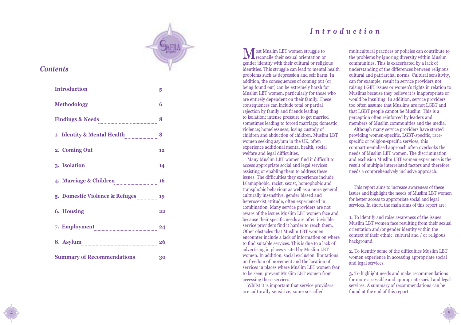

### *Contents*

4

| Introduction 5                                                                                                                                                                                                                 |    |
|--------------------------------------------------------------------------------------------------------------------------------------------------------------------------------------------------------------------------------|----|
|                                                                                                                                                                                                                                |    |
| Findings & Needs [100] 100 and 100 and 100 and 100 and 100 and 100 and 100 and 100 and 100 and 100 and 100 and 100 and 100 and 100 and 100 and 100 and 100 and 100 and 100 and 100 and 100 and 100 and 100 and 100 and 100 and |    |
| 1. Identity & Mental Health 28                                                                                                                                                                                                 |    |
| 2. Coming Out 12                                                                                                                                                                                                               |    |
| 3. Isolation 14                                                                                                                                                                                                                |    |
| 4. Marriage & Children 16                                                                                                                                                                                                      |    |
| 5. Domestic Violence & Refuges 19                                                                                                                                                                                              |    |
| 6. Housing 22                                                                                                                                                                                                                  |    |
| 7. Employment 24                                                                                                                                                                                                               |    |
| 8. Asylum                                                                                                                                                                                                                      | 26 |
| <b>Summary of Recommendations</b> 30                                                                                                                                                                                           |    |

### *Introduction*

Most Muslim LBT women struggle to **TV** reconcile their sexual orientation or gender identity with their cultural or religious identities. This struggle can lead to mental health problems such as depression and self harm. In addition, the consequences of coming out (or being found out) can be extremely harsh for Muslim LBT women, particularly for those who are entirely dependent on their family. These consequences can include total or partial rejection by family and friends leading to isolation; intense pressure to get married sometimes leading to forced marriage; domestic violence; homelessness; losing custody of children and abduction of children. Muslim LBT women seeking asylum in the UK, often experience additional mental health, social welfare and legal difficulties.

Many Muslim LBT women find it difficult to access appropriate social and legal services assisting or enabling them to address these issues. The difficulties they experience include Islamophobic, racist, sexist, homophobic and transphobic behaviour as well as a more general culturally insensitive, gender biased and heterosexist attitude, often experienced in combination. Many service providers are not aware of the issues Muslim LBT women face and because their specific needs are often invisible, service providers find it harder to reach them. Other obstacles that Muslim LBT women encounter include a lack of information on where to find suitable services. This is due to a lack of advertising in places visited by Muslim LBT women. In addition, social exclusion, limitations on freedom of movement and the location of services in places where Muslim LBT women fear to be seen, prevent Muslim LBT women from accessing these services.

Whilst it is important that service providers are culturally sensitive, some so-called

multicultural practices or policies can contribute to the problems by ignoring diversity within Muslim communities. This is exacerbated by a lack of understanding of the differences between religious, cultural and patriarchal norms. Cultural sensitivity, can for example, result in service providers not raising LGBT issues or women's rights in relation to Muslims because they believe it is inappropriate or would be insulting. In addition, service providers too often assume that Muslims are not LGBT and that LGBT people cannot be Muslim. This is a perception often reinforced by leaders and members of Muslim communities and the media.

Although many service providers have started providing women-specific, LGBT-specific, racespecific or religion-specific services, this compartmentalised approach often overlooks the needs of Muslim LBT women. The discrimination and exclusion Muslim LBT women experience is the result of multiple interrelated factors and therefore needs a comprehensively inclusive approach.

This report aims to increase awareness of these issues and highlight the needs of Muslim LBT women for better access to appropriate social and legal services. In short, the main aims of this report are:

**1.** To identify and raise awareness of the issues Muslim LBT women face resulting from their sexual orientation and/or gender identity within the context of their ethnic, cultural and / or religious background.

**2.** To identify some of the difficulties Muslim LBT women experience in accessing appropriate social and legal services.

**3.** To highlight needs and make recommendations for more accessible and appropriate social and legal services. A summary of recommendations can be found at the end of this report.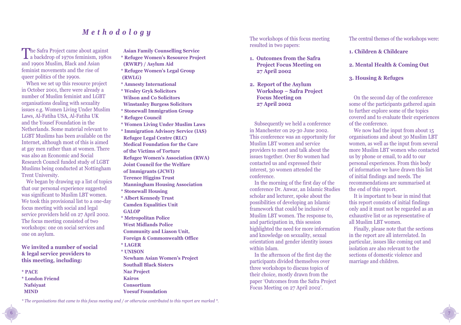### *Methodology*

The Safra Project came about against<br>a backdrop of 1970s feminism, 1980s **The Safra Project came about against** and 1990s Muslim, Black and Asian feminist movements and the rise of queer politics of the 1990s.

When we set up this resource project in October 2001, there were already a number of Muslim feminist and LGBT organisations dealing with sexuality issues e.g. Women Living Under Muslim Laws, Al-Fatiha USA, Al-Fatiha UK and the Yousef Foundation in the Netherlands. Some material relevant to LGBT Muslims has been available on the Internet, although most of this is aimed at gay men rather than at women. There was also an Economic and Social Research Council funded study of LGBT Muslims being conducted at Nottingham Trent University.

We began by drawing up a list of topics that our personal experience suggested was significant to Muslim LBT women. We took this provisional list to a one-day focus meeting with social and legal service providers held on 27 April 2002. The focus meeting consisted of two workshops: one on social services and one on asylum.

**We invited a number of social & legal service providers to this meeting, including:**

**\* PACE**

6

**\* London Friend Nafsiyaat MIND**

**Asian Family Counselling Service**

- **\* Refugee Women's Resource Project (RWRP) / Asylum Aid**
- **\* Refugee Women's Legal Group (RWLG)**
- **\* Amnesty International**
- **\* Wesley Gryk Solicitors Wilson and Co Solicitors Winstanley Burgess Solicitors**
- **\* Stonewall Immigration Group**
- **\* Refugee Council**
- **\* Women Living Under Muslim Laws**
- **\* Immigration Advisory Service (IAS) Refugee Legal Centre (RLC) Medical Foundation for the Care of the Victims of Torture Refugee Women's Association (RWA) Joint Council for the Welfare of Immigrants (JCWI) Terence Higgins Trust Manningham Housing Association**
- **\* Stonewall Housing**
- **\* Albert Kennedy Trust Camden Equalities Unit GALOP**
- **\* Metropolitan Police West Midlands Police Community and Liason Unit, Foreign & Commonwealth Office \* LAGER**
- **\* UNISON**
- **Newham Asian Women's Project Southall Black Sisters Naz Project Kairos Consortium Yoesuf Foundation**

The workshops of this focus meeting resulted in two papers:

- **1. Outcomes from the Safra Project Focus Meeting on 27 April 2002**
- **2. Report of the Asylum Workshop – Safra Project Focus Meeting on 27 April 2002**

Subsequently we held a conference in Manchester on 29-30 June 2002. This conference was an opportunity for Muslim LBT women and service providers to meet and talk about the issues together. Over 80 women had contacted us and expressed their interest, 30 women attended the conference.

In the morning of the first day of the conference Dr. Anwar, an Islamic Studies scholar and lecturer, spoke about the possibilities of developing an Islamic framework that could be inclusive of Muslim LBT women. The response to, and participation in, this session highlighted the need for more information and knowledge on sexuality, sexual orientation and gender identity issues within Islam.

In the afternoon of the first day the participants divided themselves over three workshops to discuss topics of their choice, mostly drawn from the paper 'Outcomes from the Safra Project Focus Meeting on 27 April 2002'.

The central themes of the workshops were:

- **1. Children & Childcare**
- **2. Mental Health & Coming Out**
- **3. Housing & Refuges**

On the second day of the conference some of the participants gathered again to further explore some of the topics covered and to evaluate their experiences of the conference.

We now had the input from about 15 organisations and about 30 Muslim LBT women, as well as the input from several more Muslim LBT women who contacted us by phone or email, to add to our personal experiences. From this body of information we have drawn this list of initial findings and needs. The recommendations are summarised at the end of this report.

It is important to bear in mind that this report consists of initial findings only and it must not be regarded as an exhaustive list or as representative of all Muslim LBT women.

Finally, please note that the sections in the report are all interrelated. In particular, issues like coming out and isolation are also relevant to the sections of domestic violence and marriage and children.

7

*\* The organisations that came to this focus meeting and / or otherwise contributed to this report are marked \*.*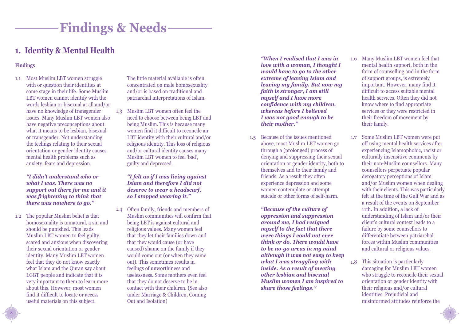# **Findings & Needs**

### **1. Identity & Mental Health**

#### **Findings**

1.1 Most Muslim LBT women struggle with or question their identities at some stage in their life. Some Muslim LBT women cannot identify with the words lesbian or bisexual at all and/or have no knowledge of transgender issues. Many Muslim LBT women also have negative preconceptions about what it means to be lesbian, bisexual or transgender. Not understanding the feelings relating to their sexual orientation or gender identity causes mental health problems such as anxiety, fears and depression.

> *"I didn't understand who or what I was. There was no support out there for me and it was frightening to think that there was nowhere to go."*

1.2 The popular Muslim belief is that homosexuality is unnatural, a sin and should be punished. This leads Muslim LBT women to feel guilty, scared and anxious when discovering their sexual orientation or gender identity. Many Muslim LBT women feel that they do not know exactly what Islam and the Quran say about LGBT people and indicate that it is very important to them to learn more about this. However, most women find it difficult to locate or access useful materials on this subject.

The little material available is often concentrated on male homosexuality and/or is based on traditional and patriarchal interpretations of Islam.

1.3 Muslim LBT women often feel the need to choose between being LBT and being Muslim. This is because many women find it difficult to reconcile an LBT identity with their cultural and/or religious identity. This loss of religious and/or cultural identity causes many Muslim LBT women to feel 'bad', guilty and depressed.

*"I felt as if I was living against Islam and therefore I did not deserve to wear a headscarf, so I stopped wearing it."*

Often family, friends and members of 1.4 Muslim communities will confirm that being LBT is against cultural and religious values. Many women feel that they let their families down and that they would cause (or have caused) shame on the family if they would come out (or when they came out). This sometimes results in feelings of unworthiness and uselessness. Some mothers even feel that they do not deserve to be in contact with their children. (See also under Marriage & Children, Coming Out and Isolation)

*"When I realised that I was in love with a woman, I thought I would have to go to the other extreme of leaving Islam and leaving my family. But now my faith is stronger, I am still myself and I have more confidence with my children, whereas before I believed I was not good enough to be their mother."*

1.5 Because of the issues mentioned above, most Muslim LBT women go through a (prolonged) process of denying and suppressing their sexual orientation or gender identity, both to themselves and to their family and friends. As a result they often experience depression and some women contemplate or attempt suicide or other forms of self-harm.

> *"Because of the culture of oppression and suppression around me, I had resigned myself to the fact that there were things I could not ever think or do. There would have to be no-go areas in my mind although it was not easy to keep what I was struggling with inside. As a result of meeting other lesbian and bisexual Muslim women I am inspired to share those feelings."*

- 1.6 Many Muslim LBT women feel that mental health support, both in the form of counselling and in the form of support groups, is extremely important. However, many find it difficult to access suitable mental health services. Often they did not know where to find appropriate services or they were restricted in their freedom of movement by their family.
- Some Muslim LBT women were put off using mental health services after experiencing Islamophobic, racist or culturally insensitive comments by their non-Muslim counsellors. Many counsellors perpetuate popular derogatory perceptions of Islam and/or Muslim women when dealing with their clients. This was particularly felt at the time of the Gulf War and as a result of the events on September 11th. In addition, a lack of understanding of Islam and/or their client's cultural context leads to a failure by some counsellors to differentiate between patriarchal forces within Muslim communities and cultural or religious values. 1.7
- 1.8 This situation is particularly damaging for Muslim LBT women who struggle to reconcile their sexual orientation or gender identity with their religious and/or cultural identities. Prejudicial and misinformed attitudes reinforce the

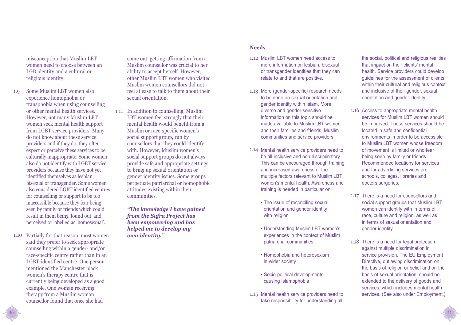misconception that Muslim LBT women need to choose between an LGB identity and a cultural or religious identity.

- Some Muslim LBT women also experience homophobia or transphobia when using counselling or other mental health services. However, not many Muslim LBT women seek mental health support from LGBT service providers. Many do not know about these service providers and if they do, they often expect or perceive these services to be culturally inappropriate. Some women also do not identify with LGBT service providers because they have not yet identified themselves as lesbian, bisexual or transgender. Some women also considered LGBT identified centres for counselling or support to be too inaccessible because they fear being seen by family or friends which could result in them being 'found out' and perceived or labelled as 'homosexual'. 1.9
- 1.10 Partially for that reason, most women said they prefer to seek appropriate counselling within a gender- and/or race-specific centre rather than in an LGBT-identified centre. One person mentioned the Manchester black women's therapy centre that is currently being developed as a good example. One woman receiving therapy from a Muslim woman counsellor found that once she had

10

come out, getting affirmation from a Muslim counsellor was crucial to her ability to accept herself. However, other Muslim LBT women who visited Muslim women counsellors did not feel at ease to talk to them about their sexual orientation.

1.11 In addition to counselling, Muslim LBT women feel strongly that their mental health would benefit from a Muslim or race-specific women's social support group, run by counsellors that they could identify with. However, Muslim women's social support groups do not always provide safe and appropriate settings to bring up sexual orientation or gender identity issues. Some groups perpetuate patriarchal or homophobic attitudes existing within their communities.

> *"The knowledge I have gained from the Safra Project has been empowering and has helped me to develop my own identity."*

#### **Needs**

- 1.12 Muslim LBT women need access to more information on lesbian, bisexual or transgender identities that they can relate to and that are positive.
- 1.13 More (gender-specific) research needs to be done on sexual orientation and gender identity within Islam. More diverse and gender-sensitive information on this topic should be made available to Muslim LBT women and their families and friends, Muslim communities and service providers.
- 1.14 Mental health service providers need to be all-inclusive and non-discriminatory. This can be encouraged through training and increased awareness of the multiple factors relevant to Muslim LBT women's mental health. Awareness and training is needed in particular on:
	- The issue of reconciling sexual orientation and gender identity with religion
	- Understanding Muslim LBT women's experiences in the context of Muslim patriarchal communities
	- Homophobia and heterosexism in wider society
	- Socio-political developments causing Islamophobia
- 1.15 Mental health service providers need to take responsibility for understanding all

the social, political and religious realities that impact on their clients' mental health. Service providers could develop guidelines for the assessment of clients within their cultural and religious context and inclusive of their gender, sexual orientation and gender identity.

- 1.16 Access to appropriate mental health services for Muslim LBT women should be improved. These services should be located in safe and confidential environments in order to be accessible to Muslim LBT women whose freedom of movement is limited or who fear being seen by family or friends. Recommended locations for services and for advertising services are schools, colleges, libraries and doctors surgeries.
- 1.17 There is a need for counsellors and social support groups that Muslim LBT women can identify with in terms of race, culture and religion, as well as in terms of sexual orientation and gender identity.
- 1.18 There is a need for legal protection against multiple discrimination in service provision. The EU Employment Directive, outlawing discrimination on the basis of religion or belief and on the basis of sexual orientation, should be extended to the delivery of goods and services, which includes mental health services. (See also under Employment.)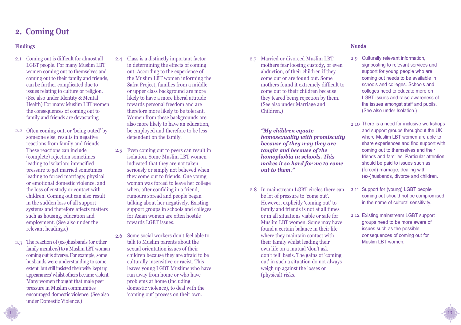### **2. Coming Out**

#### **Findings**

- 2.1 Coming out is difficult for almost all LGBT people. For many Muslim LBT women coming out to themselves and coming out to their family and friends, can be further complicated due to issues relating to culture or religion. (See also under Identity & Mental Health) For many Muslim LBT women the consequences of coming out to family and friends are devastating.
- 2.2 Often coming out, or 'being outed' by someone else, results in negative reactions from family and friends. These reactions can include (complete) rejection sometimes leading to isolation; intensified pressure to get married sometimes leading to forced marriage; physical or emotional domestic violence, and the loss of custody or contact with children. Coming out can also result in the sudden loss of all support systems and therefore affects matters such as housing, education and employment. (See also under the relevant headings.)
- The reaction of (ex-)husbands (or other 2.3 family members) to a Muslim LBT woman coming out is diverse. For example, some husbands were understanding to some extent, but still insisted their wife 'kept up appearances' whilst others became violent. Many women thought that male peer pressure in Muslim communities encouraged domestic violence. (See also under Domestic Violence.)
- Class is a distinctly important factor in determining the effects of coming out. According to the experience of the Muslim LBT women informing the Safra Project, families from a middle or upper class background are more likely to have a more liberal attitude towards personal freedom and are therefore more likely to be tolerant. Women from these backgrounds are also more likely to have an education, be employed and therefore to be less dependent on the family. 2.4
- 2.5 Even coming out to peers can result in isolation. Some Muslim LBT women indicated that they are not taken seriously or simply not believed when they come out to friends. One young woman was forced to leave her college when, after confiding in a friend, rumours spread and people began talking about her negatively. Existing support groups in schools and colleges for Asian women are often hostile towards LGBT issues.
- 2.6 Some social workers don't feel able to talk to Muslim parents about the sexual orientation issues of their children because they are afraid to be culturally insensitive or racist. This leaves young LGBT Muslims who have run away from home or who have problems at home (including domestic violence), to deal with the 'coming out' process on their own.

2.7 Married or divorced Muslim LBT mothers fear loosing custody, or even abduction, of their children if they come out or are found out. Some mothers found it extremely difficult to come out to their children because they feared being rejection by them. (See also under Marriage and Children.)

*"My children equate homosexuality with promiscuity because of they way they are taught and because of the homophobia in schools. This makes it so hard for me to come out to them."*

2.8 In mainstream LGBT circles there can be lot of pressure to 'come out'. However, explicitly 'coming out' to family and friends is not at all times or in all situations viable or safe for Muslim LBT women. Some may have found a certain balance in their life where they maintain contact with their family whilst leading their own life on a mutual 'don't ask don't tell' basis. The gains of 'coming out' in such a situation do not always weigh up against the losses or (physical) risks.

#### **Needs**

- 2.9 Culturally relevant information, signposting to relevant services and support for young people who are coming out needs to be available in schools and colleges. Schools and colleges need to educate more on LGBT issues and raise awareness of the issues amongst staff and pupils. (See also under Isolation.)
- 2.10 There is a need for inclusive workshops and support groups throughout the UK where Muslim LBT women are able to share experiences and find support with coming out to themselves and their friends and families. Particular attention should be paid to issues such as (forced) marriage, dealing with (ex-)husbands, divorce and children.
- 2.11 Support for (young) LGBT people coming out should not be compromised in the name of cultural sensitivity.
- 2.12 Existing mainstream LGBT support groups need to be more aware of issues such as the possible consequences of coming out for Muslim LBT women.

13

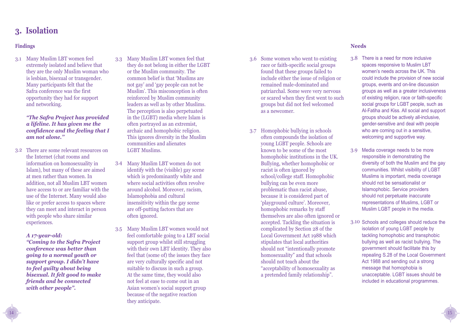## **3. Isolation**

### **Findings**

Many Muslim LBT women feel 3.1 extremely isolated and believe that they are the only Muslim woman who is lesbian, bisexual or transgender. Many participants felt that the Safra conference was the first opportunity they had for support and networking.

> *"The Safra Project has provided a lifeline. It has given me the confidence and the feeling that I am not alone.''*

There are some relevant resources on 3.2 the Internet (chat rooms and information on homosexuality in Islam), but many of these are aimed at men rather than women. In addition, not all Muslim LBT women have access to or are familiar with the use of the Internet. Many would also like or prefer access to spaces where they can meet and interact in person with people who share similar experiences.

*A 17-year-old: "Coming to the Safra Project conference was better than going to a normal youth or support group. I didn't have to feel guilty about being bisexual. It felt good to make friends and be connected with other people".*

14

- Many Muslim LBT women feel that 3.3 they do not belong in either the LGBT or the Muslim community. The common belief is that 'Muslims are not gay' and 'gay people can not be Muslim'. This misconception is often reinforced by Muslim community leaders as well as by other Muslims. The perception is also perpetuated in the (LGBT) media where Islam is often portrayed as an extremist, archaic and homophobic religion. This ignores diversity in the Muslim communities and alienates LGBT Muslims.
- Many Muslim LBT women do not identify with the (visible) gay scene which is predominantly white and where social activities often revolve around alcohol. Moreover, racism, Islamophobia and cultural insensitivity within the gay scene are off-putting factors that are often ignored. 3.4
- Many Muslim LBT women would not feel comfortable going to a LBT social support group whilst still struggling with their own LBT identity. They also feel that (some of) the issues they face are very culturally specific and not suitable to discuss in such a group. At the same time, they would also not feel at ease to come out in an Asian women's social support group because of the negative reaction they anticipate. 3.5
- 3.6 Some women who went to existing race or faith-specific social groups found that these groups failed to include either the issue of religion or remained male-dominated and patriarchal. Some were very nervous or scared when they first went to such groups but did not feel welcomed as a newcomer.
- 3.7 Homophobic bullying in schools often compounds the isolation of young LGBT people. Schools are known to be some of the most homophobic institutions in the UK. Bullying, whether homophobic or racist is often ignored by school/college staff. Homophobic bullying can be even more problematic than racist abuse, because it is considered part of 'playground culture'. Moreover, homophobic remarks by staff themselves are also often ignored or accepted. Tackling the situation is complicated by Section 28 of the Local Government Act 1988 which stipulates that local authorities should not "intentionally promote homosexuality" and that schools should not teach about the "acceptability of homosexuality as a pretended family relationship".

#### **Needs**

- 3.8 There is a need for more inclusive spaces responsive to Muslim LBT women's needs across the UK. This could include the provision of new social groups, events and on-line discussion groups as well as a greater inclusiveness of existing religion, race or faith-specific social groups for LGBT people, such as Al-Fatiha and Kiss. All social and support groups should be actively all-inclusive, gender-sensitive and deal with people who are coming out in a sensitive, welcoming and supportive way.
- Media coverage needs to be more responsible in demonstrating the diversity of both the Muslim and the gay communities. Whilst visibility of LGBT Muslims is important, media coverage should not be sensationalist or Islamophobic. Service providers should not perpetuate inaccurate representations of Muslims, LGBT or Muslim LGBT people in the media. 3.9
- 3.10 Schools and colleges should reduce the isolation of young LGBT people by tackling homophobic and transphobic bullying as well as racist bullying. The government should facilitate this by repealing S.28 of the Local Government Act 1988 and sending out a strong message that homophobia is unacceptable. LGBT issues should be included in educational programmes.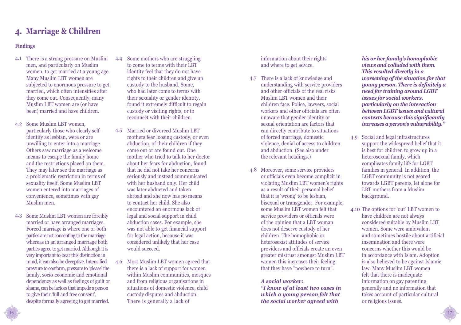### **4. Marriage & Children**

#### **Findings**

- There is a strong pressure on Muslim 4.1 men, and particularly on Muslim women, to get married at a young age. Many Muslim LBT women are subjected to enormous pressure to get married, which often intensifies after they come out. Consequently, many Muslim LBT women are (or have been) married and have children.
- 4.2 Some Muslim LBT women, particularly those who clearly selfidentify as lesbian, were or are unwilling to enter into a marriage. Others saw marriage as a welcome means to escape the family home and the restrictions placed on them. They may later see the marriage as a problematic restriction in terms of sexuality itself. Some Muslim LBT women entered into marriages of convenience, sometimes with gay Muslim men.
- 4.3 Some Muslim LBT women are forcibly married or have arranged marriages. Forced marriage is where one or both parties are not consenting to the marriage whereas in an arranged marriage both parties agree to get married. Although it is very important to bear this distinction in mind, it can also be deceptive. Intensified pressure to conform, pressure to 'please' the family, socio-economic and emotional dependency as well as feelings of guilt or shame, can be factors that impede a person to give their 'full and free consent', despite formally agreeing to get married.
- Some mothers who are struggling to come to terms with their LBT identity feel that they do not have rights to their children and give up custody to the husband. Some, who had later come to terms with their sexuality or gender identity, found it extremely difficult to regain custody or visiting rights, or to reconnect with their children. 4.4
- 4.5 Married or divorced Muslim LBT mothers fear loosing custody, or even abduction, of their children if they come out or are found out. One mother who tried to talk to her doctor about her fears for abduction, found that he did not take her concerns seriously and instead communicated with her husband only. Her child was later abducted and taken abroad and she now has no means to contact her child. She also encountered an enormous lack of legal and social support in child abduction cases. For example, she was not able to get financial support for legal action, because it was considered unlikely that her case would succeed.
- Most Muslim LBT women agreed that there is a lack of support for women within Muslim communities, mosques and from religious organisations in situations of domestic violence, child custody disputes and abduction. There is generally a lack of 4.6

information about their rights and where to get advice.

- 4.7 There is a lack of knowledge and understanding with service providers and other officials of the real risks Muslim LBT women and their children face. Police, lawyers, social workers and other officials are often unaware that gender identity or sexual orientation are factors that can directly contribute to situations of forced marriage, domestic violence, denial of access to children and abduction. (See also under the relevant headings.)
- 4.8 Moreover, some service providers or officials even become complicit in violating Muslim LBT women's rights as a result of their personal belief that it is 'wrong' to be lesbian, bisexual or transgender. For example, some Muslim LBT women felt that service providers or officials were of the opinion that a LBT woman does not deserve custody of her children. The homophobic or heterosexist attitudes of service providers and officials create an even greater mistrust amongst Muslim LBT women this increases their feeling that they have "nowhere to turn".

#### *A social worker:*

*"I know of at least two cases in which a young person felt that the social worker agreed with*

*his or her family's homophobic views and colluded with them. This resulted directly in a worsening of the situation for that young person. There is definitely a need for training around LGBT issues for social workers, particularly on the interaction between LGBT issues and cultural contexts because this significantly increases a person's vulnerability."* 

- Social and legal infrastructures support the widespread belief that it is best for children to grow up in a heterosexual family, which complicates family life for LGBT families in general. In addition, the LGBT community is not geared towards LGBT parents, let alone for LBT mothers from a Muslim background. 4.9
- 4.10 The options for 'out' LBT women to have children are not always considered suitable by Muslim LBT women. Some were ambivalent and sometimes hostile about artificial insemination and there were concerns whether this would be in accordance with Islam. Adoption is also believed to be against Islamic law. Many Muslim LBT women felt that there is inadequate information on gay parenting generally and no information that takes account of particular cultural or religious issues.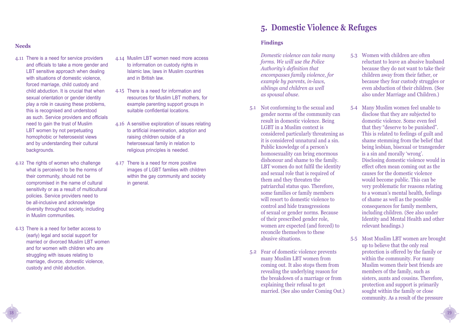- 4.11 There is a need for service providers and officials to take a more gender and LBT sensitive approach when dealing with situations of domestic violence, forced marriage, child custody and child abduction. It is crucial that when sexual orientation or gender identity play a role in causing these problems, this is recognised and understood as such. Service providers and officials need to gain the trust of Muslim LBT women by not perpetuating homophobic or heterosexist views and by understanding their cultural backgrounds.
- 4.12 The rights of women who challenge what is perceived to be the norms of their community, should not be compromised in the name of cultural sensitivity or as a result of multicultural policies. Service providers need to be all-inclusive and acknowledge diversity throughout society, including in Muslim communities.
- 4.13 There is a need for better access to (early) legal and social support for married or divorced Muslim LBT women and for women with children who are struggling with issues relating to marriage, divorce, domestic violence, custody and child abduction.

18

- 4.14 Muslim LBT women need more access to information on custody rights in Islamic law, laws in Muslim countries and in British law.
- 4.15 There is a need for information and resources for Muslim LBT mothers, for example parenting support groups in suitable confidential locations.
- 4.16 A sensitive exploration of issues relating to artificial insemination, adoption and raising children outside of a heterosexual family in relation to religious principles is needed.
- 4.17 There is a need for more positive images of LGBT families with children within the gay community and society in general.

### **5. Domestic Violence & Refuges**

### **Needs Findings**

*Domestic violence can take many forms. We will use the Police Authority's definition that encompasses family violence, for example by parents, in-laws, siblings and children as well as spousal abuse.*

- 5.1 Not conforming to the sexual and gender norms of the community can result in domestic violence. Being LGBT in a Muslim context is considered particularly threatening as it is considered unnatural and a sin. Public knowledge of a person's homosexuality can bring enormous dishonour and shame to the family. LBT women do not fulfil the identity and sexual role that is required of them and they threaten the patriarchal status quo. Therefore, some families or family members will resort to domestic violence to control and hide transgressions of sexual or gender norms. Because of their prescribed gender role, women are expected (and forced) to reconcile themselves to these abusive situations.
- Fear of domestic violence prevents 5.2 many Muslim LBT women from coming out. It also stops them from revealing the underlying reason for the breakdown of a marriage or from explaining their refusal to get married. (See also under Coming Out.)
- Women with children are often reluctant to leave an abusive husband because they do not want to take their children away from their father, or because they fear custody struggles or even abduction of their children. (See also under Marriage and Children.) 5.3
- Many Muslim women feel unable to disclose that they are subjected to domestic violence. Some even feel that they "deserve to be punished". This is related to feelings of guilt and shame stemming from the belief that being lesbian, bisexual or transgender is a sin and morally 'wrong'. Disclosing domestic violence would in effect often mean coming out as the causes for the domestic violence would become public. This can be very problematic for reasons relating to a woman's mental health, feelings of shame as well as the possible consequences for family members, including children. (See also under Identity and Mental Health and other relevant headings.) 5.4
- 5.5 Most Muslim LBT women are brought up to believe that the only real protection is offered by the family or within the community. For many Muslim women their best friends are members of the family, such as sisters, aunts and cousins. Therefore, protection and support is primarily sought within the family or close community. As a result of the pressure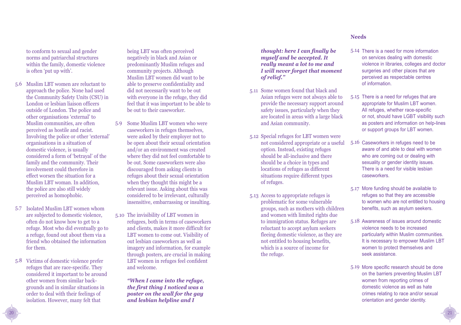to conform to sexual and gender norms and patriarchal structures within the family, domestic violence is often 'put up with'.

- 5.6 Muslim LBT women are reluctant to approach the police. None had used the Community Safety Units (CSU) in London or lesbian liaison officers outside of London. The police and other organisations 'external' to Muslim communities, are often perceived as hostile and racist. Involving the police or other 'external' organisations in a situation of domestic violence, is usually considered a form of 'betrayal' of the family and the community. Their involvement could therefore in effect worsen the situation for a Muslim LBT woman. In addition, the police are also still widely perceived as homophobic.
- 5.7 Isolated Muslim LBT women whom are subjected to domestic violence, often do not know how to get to a refuge. Most who did eventually go to a refuge, found out about them via a friend who obtained the information for them.
- 5.8 Victims of domestic violence prefer refuges that are race-specific. They considered it important to be around other women from similar backgrounds and in similar situations in order to deal with their feelings of isolation. However, many felt that

being LBT was often perceived negatively in black and Asian or predominantly Muslim refuges and community projects. Although Muslim LBT women did want to be able to preserve confidentiality and did not necessarily want to be out with everyone in the refuge, they did feel that it was important to be able to be out to their caseworker.

- 5.9 Some Muslim LBT women who were caseworkers in refuges themselves, were asked by their employer not to be open about their sexual orientation and/or an environment was created where they did not feel comfortable to be out. Some caseworkers were also discouraged from asking clients in refuges about their sexual orientation when they thought this might be a relevant issue. Asking about this was considered to be irrelevant, culturally insensitive, embarrassing or insulting.
- 5.10 The invisibility of LBT women in refugees, both in terms of caseworkers and clients, makes it more difficult for LBT women to come out. Visibility of out lesbian caseworkers as well as imagery and information, for example through posters, are crucial in making LBT women in refuges feel confident and welcome.

*"When I came into the refuge, the first thing I noticed was a poster on the wall for the gay and lesbian helpline and I*

*thought: here I can finally be myself and be accepted. It really meant a lot to me and I will never forget that moment of relief."* 

- 5.11 Some women found that black and Asian refuges were not always able to provide the necessary support around safety issues, particularly when they are located in areas with a large black and Asian community.
- 5.12 Special refuges for LBT women were not considered appropriate or a useful option. Instead, existing refuges should be all-inclusive and there should be a choice in types and locations of refuges as different situations require different types of refuges.
- 5.13 Access to appropriate refuges is problematic for some vulnerable groups, such as mothers with children and women with limited rights due to immigration status. Refuges are reluctant to accept asylum seekers fleeing domestic violence, as they are not entitled to housing benefits, which is a source of income for the refuge.

#### **Needs**

- 5.14 There is a need for more information on services dealing with domestic violence in libraries, colleges and doctor surgeries and other places that are perceived as respectable centres of information.
- 5.15 There is a need for refuges that are appropriate for Muslim LBT women. All refuges, whether race-specific or not, should have LGBT visibility such as posters and information on help-lines or support groups for LBT women.
- 5.16 Caseworkers in refuges need to be aware of and able to deal with women who are coming out or dealing with sexuality or gender identity issues. There is a need for visible lesbian caseworkers.
- 5.17 More funding should be available to refuges so that they are accessible to women who are not entitled to housing benefits, such as asylum seekers.
- $5.18$  Awareness of issues around domestic violence needs to be increased particularly within Muslim communities. It is necessary to empower Muslim LBT women to protect themselves and seek assistance.
- 5.19 More specific research should be done on the barriers preventing Muslim LBT women from reporting crimes of domestic violence as well as hate crimes relating to race and/or sexual orientation and gender identity.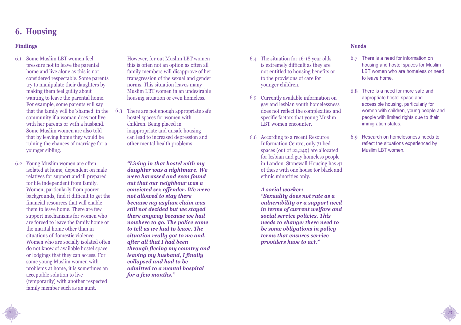### **6. Housing**

#### **Findings**

- Some Muslim LBT women feel 6.1 pressure not to leave the parental home and live alone as this is not considered respectable. Some parents try to manipulate their daughters by making them feel guilty about wanting to leave the parental home. For example, some parents will say that the family will be 'shamed' in the community if a woman does not live with her parents or with a husband. Some Muslim women are also told that by leaving home they would be ruining the chances of marriage for a younger sibling.
- Young Muslim women are often 6.2 isolated at home, dependent on male relatives for support and ill prepared for life independent from family. Women, particularly from poorer backgrounds, find it difficult to get the financial resources that will enable them to leave home. There are few support mechanisms for women who are forced to leave the family home or the marital home other than in situations of domestic violence. Women who are socially isolated often do not know of available hostel space or lodgings that they can access. For some young Muslim women with problems at home, it is sometimes an acceptable solution to live (temporarily) with another respected family member such as an aunt.

However, for out Muslim LBT women this is often not an option as often all family members will disapprove of her transgression of the sexual and gender norms. This situation leaves many Muslim LBT women in an undesirable housing situation or even homeless.

There are not enough appropriate safe hostel spaces for women with children. Being placed in inappropriate and unsafe housing can lead to increased depression and other mental health problems. 6.3

> *"Living in that hostel with my daughter was a nightmare. We were harassed and even found out that our neighbour was a convicted sex offender. We were not allowed to stay there because my asylum claim was still not decided but we stayed there anyway because we had nowhere to go. The police came to tell us we had to leave. The situation really got to me and, after all that I had been through fleeing my country and leaving my husband, I finally collapsed and had to be admitted to a mental hospital for a few months."*

- The situation for 16-18 year olds 6.4 is extremely difficult as they are not entitled to housing benefits or to the provisions of care for younger children.
- 6.5 Currently available information on gay and lesbian youth homelessness does not reflect the complexities and specific factors that young Muslim LBT women encounter.
- 6.6 According to a recent Resource Information Centre, only 71 bed spaces (out of 22,249) are allocated for lesbian and gay homeless people in London. Stonewall Housing has 41 of these with one house for black and ethnic minorities only.

*A social worker: "Sexuality does not rate as a vulnerability or a support need in terms of current welfare and social service policies. This needs to change: there need to be some obligations in policy terms that ensures service providers have to act."*

#### **Needs**

- 6.7 There is a need for information on housing and hostel spaces for Muslim LBT women who are homeless or need to leave home.
- There is a need for more safe and 6.8 appropriate hostel space and accessible housing, particularly for women with children, young people and people with limited rights due to their immigration status.
- 6.9 Research on homelessness needs to reflect the situations experienced by Muslim LBT women.

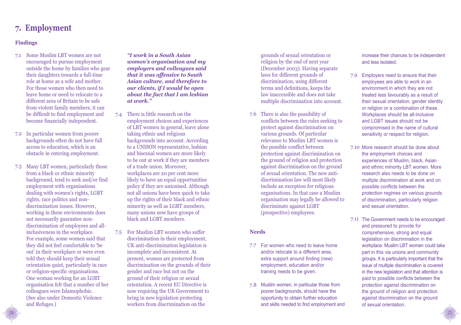### **7. Employment**

#### **Findings**

- 7.1 Some Muslim LBT women are not encouraged to pursue employment outside the home by families who gear their daughters towards a full-time role at home as a wife and mother. For those women who then need to leave home or need to relocate to a different area of Britain to be safe from violent family members, it can be difficult to find employment and become financially independent.
- In particular women from poorer 7.2 backgrounds often do not have full access to education, which is an obstacle in entering employment.
- 7.3 Many LBT women, particularly those from a black or ethnic minority background, tend to seek and/or find employment with organisations dealing with women's rights, LGBT rights, race politics and nondiscrimination issues. However, working in these environments does not necessarily guarantee nondiscrimination of employees and allinclusiveness in the workplace. For example, some women said that they did not feel comfortable to 'be out' in their workplace or were even told they should keep their sexual orientation quiet, particularly in race or religion-specific organisations. One woman working for an LGBT organisation felt that a number of her colleagues were Islamophobic. (See also under Domestic Violence and Refuges.)

*"I work in a South Asian women's organisation and my employers and colleagues said that it was offensive to South Asian culture, and therefore to our clients, if I would be open about the fact that I am lesbian at work."*

- There is little research on the employment choices and experiences of LBT women in general, leave alone taking ethnic and religious backgrounds into account. According to a UNISON representative, lesbian and bisexual women are more likely to be out at work if they are members of a trade union. Moreover, workplaces are 20 per cent more likely to have an equal opportunities policy if they are unionised. Although not all unions have been quick to take up the rights of their black and ethnic minority as well as LGBT members, many unions now have groups of black and LGBT members. 7.4
- For Muslim LBT women who suffer 7.5 discrimination in their employment, UK anti-discrimination legislation is incomplete and inconsistent. At present, women are protected from discrimination on the grounds of their gender and race but not on the ground of their religion or sexual orientation. A recent EU Directive is now requiring the UK Government to bring in new legislation protecting workers from discrimination on the

grounds of sexual orientation or religion by the end of next year (December 2003). Having separate laws for different grounds of discrimination, using different terms and definitions, keeps the law inaccessible and does not take multiple discrimination into account.

7.6 There is also the possibility of conflicts between the rules seeking to protect against discrimination on various grounds. Of particular relevance to Muslim LBT women is the possible conflict between protection against discrimination on the ground of religion and protection against discrimination on the ground of sexual orientation. The new antidiscrimination law will most likely include an exception for religious organisations. In that case a Muslim organisation may legally be allowed to discriminate against LGBT (prospective) employees.

#### **Needs**

- 7.7 For women who need to leave home and/or relocate to a different area, extra support around finding (new) employment, education and/or training needs to be given.
- 7.8 Muslim women, in particular those from poorer backgrounds, should have the opportunity to obtain further education and skills needed to find employment and

increase their chances to be independent and less isolated.

- 7.9 Employers need to ensure that their employees are able to work in an environment in which they are not treated less favourably as a result of their sexual orientation, gender identity or religion or a combination of these. Workplaces should be all-inclusive and LGBT issues should not be compromised in the name of cultural sensitivity or respect for religion.
- 7.10 More research should be done about the employment choices and experiences of Muslim, black, Asian and ethnic minority LBT women. More research also needs to be done on multiple discrimination at work and on possible conflicts between the protection regimes on various grounds of discrimination, particularly religion and sexual orientation.
- 7.11 The Government needs to be encouraged and pressured to provide for comprehensive, strong and equal legislation on discrimination in the workplace. Muslim LBT women could take part in this via unions and community groups. It is particularly important that the issue of multiple discrimination is covered in the new legislation and that attention is paid to possible conflicts between the protection against discrimination on the ground of religion and protection against discrimination on the ground of sexual orientation.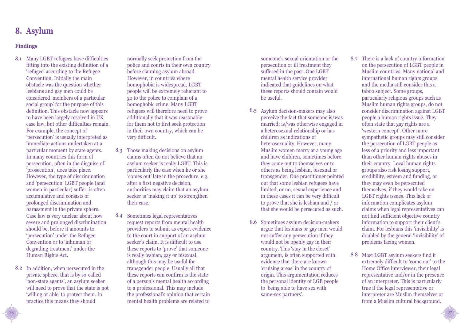### **8. Asylum**

### **Findings**

- Many LGBT refugees have difficulties 8.1 fitting into the existing definition of a 'refugee' according to the Refugee Convention. Initially the main obstacle was the question whether lesbians and gay men could be considered 'members of a particular social group' for the purpose of this definition. This obstacle now appears to have been largely resolved in UK case law, but other difficulties remain. For example, the concept of 'persecution' is usually interpreted as immediate actions undertaken at a particular moment by state agents. In many countries this form of persecution, often in the disguise of 'prosecution', does take place. However, the type of discrimination and 'persecution' LGBT people (and women in particular) suffer, is often accumulative and consists of prolonged discrimination and harassment in the private sphere. Case law is very unclear about how severe and prolonged discrimination should be, before it amounts to 'persecution' under the Refugee Convention or to 'inhuman or degrading treatment' under the Human Rights Act.
- 8.2 In addition, when persecuted in the private sphere, that is by so-called 'non-state agents', an asylum seeker will need to prove that the state is not 'willing or able' to protect them. In practice this means they should

normally seek protection from the police and courts in their own country before claiming asylum abroad. However, in countries where homophobia is widespread, LGBT people will be extremely reluctant to go to the police to complain of a homophobic crime. Many LGBT refugees will therefore need to prove additionally that it was reasonable for them not to first seek protection in their own country, which can be very difficult.

- Those making decisions on asylum 8.3 claims often do not believe that an asylum seeker is really LGBT. This is particularly the case when he or she 'comes out' late in the procedure, e.g. after a first negative decision, authorities may claim that an asylum seeker is 'making it up' to strengthen their case.
- Sometimes legal representatives request reports from mental health providers to submit as expert evidence to the court in support of an asylum seeker's claim. It is difficult to use these reports to 'prove' that someone is really lesbian, gay or bisexual, although this may be useful for transgender people. Usually all that these reports can confirm is the state of a person's mental health according to a professional. This may include the professional's opinion that certain mental health problems are related to 8.4

someone's sexual orientation or the persecution or ill treatment they suffered in the past. One LGBT mental health service provider indicated that guidelines on what these reports should contain would be useful.

- 8.5 Asylum decision-makers may also perceive the fact that someone is/was married; is/was otherwise engaged in a heterosexual relationship or has children as indications of heterosexuality. However, many Muslim women marry at a young age and have children, sometimes before they come out to themselves or to others as being lesbian, bisexual or transgender. One practitioner pointed out that some lesbian refugees have limited, or no, sexual experience and in these cases it can be very difficult to prove that she is lesbian and / or that she would be persecuted as such.
- 8.6 Sometimes asylum decision-makers argue that lesbians or gay men would not suffer any persecution if they would not be openly gay in their country. This 'stay in the closet' argument, is often supported with evidence that there are known 'cruising areas' in the country of origin. This argumentation reduces the personal identity of LGB people to 'being able to have sex with same-sex partners'.
- There is a lack of country information 8.7 on the persecution of LGBT people in Muslim countries. Many national and international human rights groups and the media still consider this a taboo subject. Some groups, particularly religious groups such as Muslim human rights groups, do not consider discrimination against LGBT people a human rights issue. They often state that gay rights are a 'western concept'. Other more sympathetic groups may still consider the persecution of LGBT people as less of a priority and less important than other human rights abuses in their country. Local human rights groups also risk losing support, credibility, esteem and funding, or they may even be persecuted themselves, if they would take on LGBT rights issues. This lack of information complicates asylum claims when legal representatives can not find sufficient objective country information to support their client's claim. For lesbians this 'invisibility' is doubled by the general 'invisibility' of problems facing women.
- 8.8 Most LGBT asylum seekers find it extremely difficult to 'come out' to the Home Office interviewer, their legal representative and/or in the presence of an interpreter. This is particularly true if the legal representative or interpreter are Muslim themselves or from a Muslim cultural background.

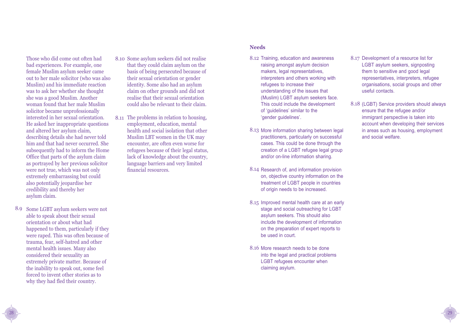Those who did come out often had bad experiences. For example, one female Muslim asylum seeker came out to her male solicitor (who was also Muslim) and his immediate reaction was to ask her whether she thought she was a good Muslim. Another woman found that her male Muslim solicitor became unprofessionally interested in her sexual orientation. He asked her inappropriate questions and altered her asylum claim, describing details she had never told him and that had never occurred. She subsequently had to inform the Home Office that parts of the asylum claim as portrayed by her previous solicitor were not true, which was not only extremely embarrassing but could also potentially jeopardise her credibility and thereby her asylum claim.

8.9 Some LGBT asylum seekers were not able to speak about their sexual orientation or about what had happened to them, particularly if they were raped. This was often because of trauma, fear, self-hatred and other mental health issues. Many also considered their sexuality an extremely private matter. Because of the inability to speak out, some feel forced to invent other stories as to why they had fled their country.

28

- 8.10 Some asylum seekers did not realise that they could claim asylum on the basis of being persecuted because of their sexual orientation or gender identity. Some also had an asylum claim on other grounds and did not realise that their sexual orientation could also be relevant to their claim.
- 8.11 The problems in relation to housing, employment, education, mental health and social isolation that other Muslim LBT women in the UK may encounter, are often even worse for refugees because of their legal status, lack of knowledge about the country, language barriers and very limited financial resources.

#### **Needs**

- 8.12 Training, education and awareness raising amongst asylum decision makers, legal representatives, interpreters and others working with refugees to increase their understanding of the issues that (Muslim) LGBT asylum seekers face. This could include the development of 'guidelines' similar to the 'gender guidelines'.
- 8.13 More information sharing between legal practitioners, particularly on successful cases. This could be done through the creation of a LGBT refugee legal group and/or on-line information sharing.
- 8.14 Research of, and information provision on, objective country information on the treatment of LGBT people in countries of origin needs to be increased.
- 8.15 Improved mental health care at an early stage and social outreaching for LGBT asylum seekers. This should also include the development of information on the preparation of expert reports to be used in court.
- 8.16 More research needs to be done into the legal and practical problems LGBT refugees encounter when claiming asylum.
- 8.17 Development of a resource list for LGBT asylum seekers, signposting them to sensitive and good legal representatives, interpreters, refugee organisations, social groups and other useful contacts.
- 8.18 (LGBT) Service providers should always ensure that the refugee and/or immigrant perspective is taken into account when developing their services in areas such as housing, employment and social welfare.

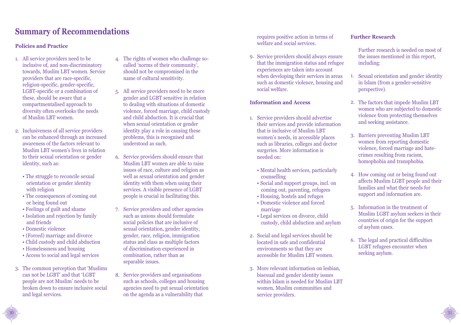## **Summary of Recommendations**

#### **Policies and Practice**

- All service providers need to be 1. inclusive of, and non-discriminatory towards, Muslim LBT women. Service providers that are race-specific, religion-specific, gender-specific, LGBT-specific or a combination of these, should be aware that a compartmentalised approach to diversity often overlooks the needs of Muslim LBT women.
- 2. Inclusiveness of all service providers can be enhanced through an increased awareness of the factors relevant to Muslim LBT women's lives in relation to their sexual orientation or gender identity, such as:
	- The struggle to reconcile sexual orientation or gender identity with religion
	- The consequences of coming out or being found out
	- Feelings of guilt and shame
	- Isolation and rejection by family and friends
	- Domestic violence

30

- (Forced) marriage and divorce
- Child custody and child abduction
- Homelessness and housing
- Access to social and legal services
- 3. The common perception that 'Muslims can not be LGBT' and that 'LGBT people are not Muslim' needs to be broken down to ensure inclusive social and legal services.
- The rights of women who challenge so-4. called 'norms of their community', should not be compromised in the name of cultural sensitivity.
- All service providers need to be more 5. gender and LGBT sensitive in relation to dealing with situations of domestic violence, forced marriage, child custody and child abduction. It is crucial that when sexual orientation or gender identity play a role in causing these problems, this is recognised and understood as such.
- 6. Service providers should ensure that Muslim LBT women are able to raise issues of race, culture and religion as well as sexual orientation and gender identity with them when using their services. A visible presence of LGBT people is crucial in facilitating this.
- 7. Service providers and other agencies such as unions should formulate social policies that are inclusive of sexual orientation, gender identity, gender, race, religion, immigration status and class as multiple factors of discrimination experienced in combination, rather than as separable issues.
- Service providers and organisations 8. such as schools, colleges and housing agencies need to put sexual orientation on the agenda as a vulnerability that

requires positive action in terms of welfare and social services.

9. Service providers should always ensure that the immigration status and refugee experiences are taken into account when developing their services in areas such as domestic violence, housing and social welfare.

#### **Information and Access**

- 1. Service providers should advertise their services and provide information that is inclusive of Muslim LBT women's needs, in accessible places such as libraries, colleges and doctor surgeries. More information is needed on:
	- Mental health services, particularly counselling
	- Social and support groups, incl. on coming out, parenting, refugees
	- Housing, hostels and refuges
	- Domestic violence and forced marriage
	- Legal services on divorce, child custody, child abduction and asylum
- 2. Social and legal services should be located in safe and confidential environments so that they are accessible for Muslim LBT women.
- 3. More relevant information on lesbian, bisexual and gender identity issues within Islam is needed for Muslim LBT women, Muslim communities and service providers.

#### **Further Research**

- Further research is needed on most of the issues mentioned in this report, including:
- Sexual orientation and gender identity in Islam (from a gender-sensitive perspective). 1.
- 2. The factors that impede Muslim LBT women who are subjected to domestic violence from protecting themselves and seeking assistance.
- 3. Barriers preventing Muslim LBT women from reporting domestic violence, forced marriage and hatecrimes resulting from racism, homophobia and transphobia.
- 4. How coming out or being found out affects Muslim LGBT people and their families and what their needs for support and information are.
- 5. Information in the treatment of Muslim LGBT asylum seekers in their countries of origin for the support of asylum cases.
- The legal and practical difficulties 6. LGBT refugees encounter when seeking asylum.